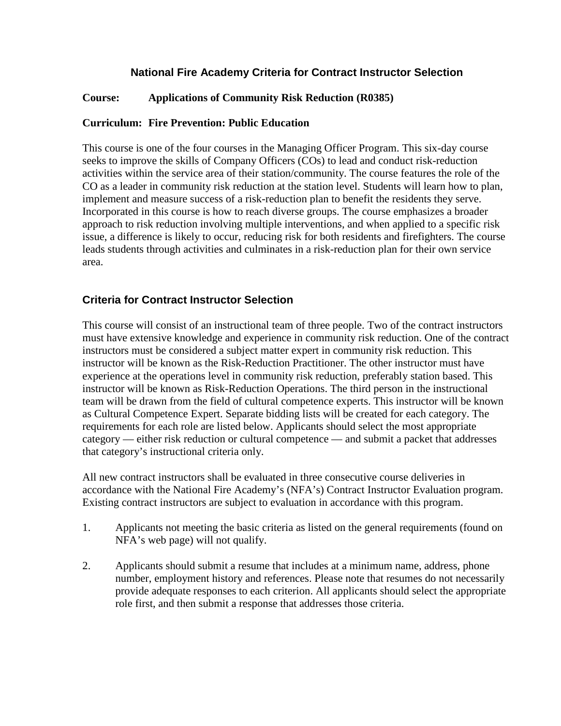# **National Fire Academy Criteria for Contract Instructor Selection**

#### **Course: Applications of Community Risk Reduction (R0385)**

#### **Curriculum: Fire Prevention: Public Education**

This course is one of the four courses in the Managing Officer Program. This six-day course seeks to improve the skills of Company Officers (COs) to lead and conduct risk-reduction activities within the service area of their station/community. The course features the role of the CO as a leader in community risk reduction at the station level. Students will learn how to plan, implement and measure success of a risk-reduction plan to benefit the residents they serve. Incorporated in this course is how to reach diverse groups. The course emphasizes a broader approach to risk reduction involving multiple interventions, and when applied to a specific risk issue, a difference is likely to occur, reducing risk for both residents and firefighters. The course leads students through activities and culminates in a risk-reduction plan for their own service area.

### **Criteria for Contract Instructor Selection**

This course will consist of an instructional team of three people. Two of the contract instructors must have extensive knowledge and experience in community risk reduction. One of the contract instructors must be considered a subject matter expert in community risk reduction. This instructor will be known as the Risk-Reduction Practitioner. The other instructor must have experience at the operations level in community risk reduction, preferably station based. This instructor will be known as Risk-Reduction Operations. The third person in the instructional team will be drawn from the field of cultural competence experts. This instructor will be known as Cultural Competence Expert. Separate bidding lists will be created for each category. The requirements for each role are listed below. Applicants should select the most appropriate category — either risk reduction or cultural competence — and submit a packet that addresses that category's instructional criteria only.

All new contract instructors shall be evaluated in three consecutive course deliveries in accordance with the National Fire Academy's (NFA's) Contract Instructor Evaluation program. Existing contract instructors are subject to evaluation in accordance with this program.

- 1. Applicants not meeting the basic criteria as listed on the general requirements (found on NFA's web page) will not qualify.
- 2. Applicants should submit a resume that includes at a minimum name, address, phone number, employment history and references. Please note that resumes do not necessarily provide adequate responses to each criterion. All applicants should select the appropriate role first, and then submit a response that addresses those criteria.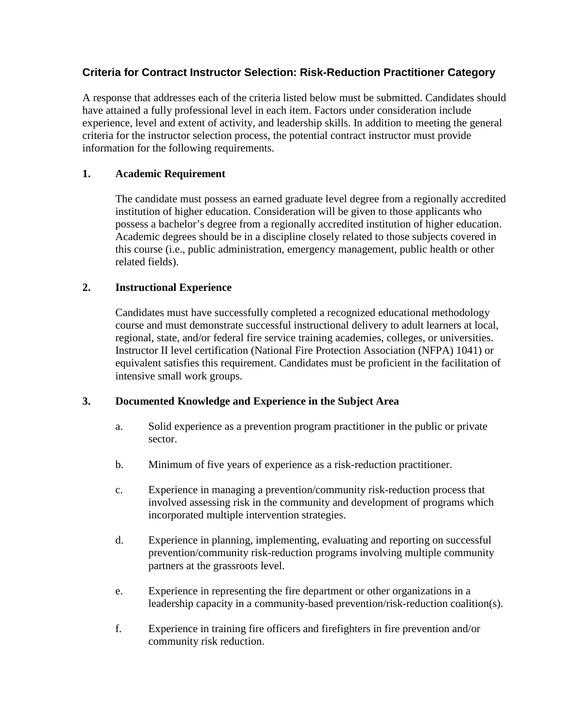# **Criteria for Contract Instructor Selection: Risk-Reduction Practitioner Category**

A response that addresses each of the criteria listed below must be submitted. Candidates should have attained a fully professional level in each item. Factors under consideration include experience, level and extent of activity, and leadership skills. In addition to meeting the general criteria for the instructor selection process, the potential contract instructor must provide information for the following requirements.

#### **1. Academic Requirement**

The candidate must possess an earned graduate level degree from a regionally accredited institution of higher education. Consideration will be given to those applicants who possess a bachelor's degree from a regionally accredited institution of higher education. Academic degrees should be in a discipline closely related to those subjects covered in this course (i.e., public administration, emergency management, public health or other related fields).

#### **2. Instructional Experience**

Candidates must have successfully completed a recognized educational methodology course and must demonstrate successful instructional delivery to adult learners at local, regional, state, and/or federal fire service training academies, colleges, or universities. Instructor II level certification (National Fire Protection Association (NFPA) 1041) or equivalent satisfies this requirement. Candidates must be proficient in the facilitation of intensive small work groups.

#### **3. Documented Knowledge and Experience in the Subject Area**

- a. Solid experience as a prevention program practitioner in the public or private sector.
- b. Minimum of five years of experience as a risk-reduction practitioner.
- c. Experience in managing a prevention/community risk-reduction process that involved assessing risk in the community and development of programs which incorporated multiple intervention strategies.
- d. Experience in planning, implementing, evaluating and reporting on successful prevention/community risk-reduction programs involving multiple community partners at the grassroots level.
- e. Experience in representing the fire department or other organizations in a leadership capacity in a community-based prevention/risk-reduction coalition(s).
- f. Experience in training fire officers and firefighters in fire prevention and/or community risk reduction.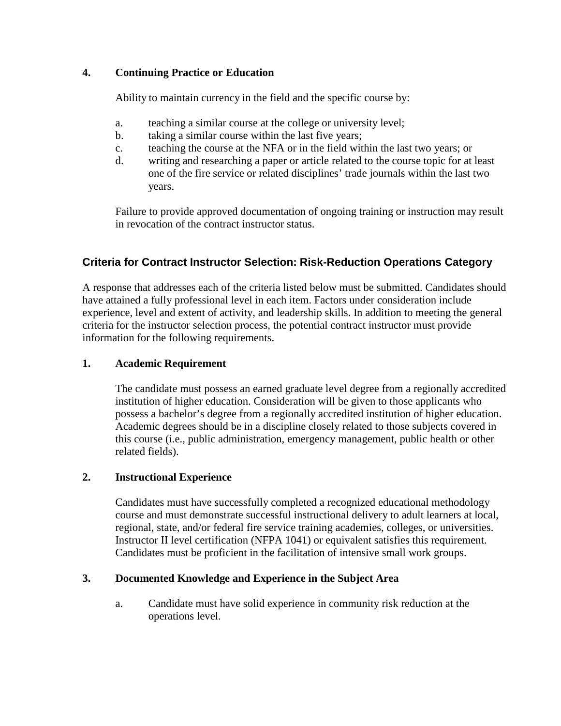#### **4. Continuing Practice or Education**

Ability to maintain currency in the field and the specific course by:

- a. teaching a similar course at the college or university level;
- b. taking a similar course within the last five years;
- c. teaching the course at the NFA or in the field within the last two years; or
- d. writing and researching a paper or article related to the course topic for at least one of the fire service or related disciplines' trade journals within the last two years.

Failure to provide approved documentation of ongoing training or instruction may result in revocation of the contract instructor status.

# **Criteria for Contract Instructor Selection: Risk-Reduction Operations Category**

A response that addresses each of the criteria listed below must be submitted. Candidates should have attained a fully professional level in each item. Factors under consideration include experience, level and extent of activity, and leadership skills. In addition to meeting the general criteria for the instructor selection process, the potential contract instructor must provide information for the following requirements.

## **1. Academic Requirement**

The candidate must possess an earned graduate level degree from a regionally accredited institution of higher education. Consideration will be given to those applicants who possess a bachelor's degree from a regionally accredited institution of higher education. Academic degrees should be in a discipline closely related to those subjects covered in this course (i.e., public administration, emergency management, public health or other related fields).

#### **2. Instructional Experience**

Candidates must have successfully completed a recognized educational methodology course and must demonstrate successful instructional delivery to adult learners at local, regional, state, and/or federal fire service training academies, colleges, or universities. Instructor II level certification (NFPA 1041) or equivalent satisfies this requirement. Candidates must be proficient in the facilitation of intensive small work groups.

#### **3. Documented Knowledge and Experience in the Subject Area**

a. Candidate must have solid experience in community risk reduction at the operations level.